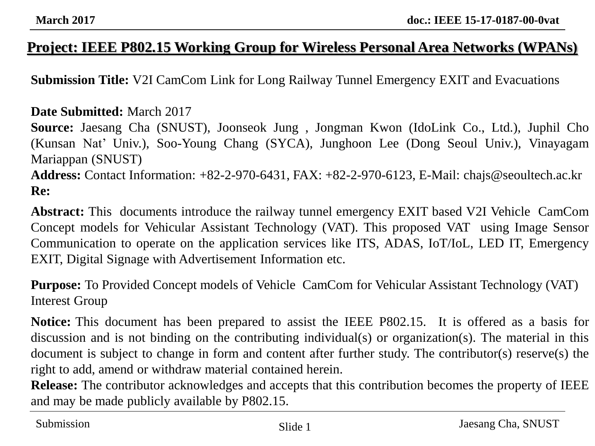### **Project: IEEE P802.15 Working Group for Wireless Personal Area Networks (WPANs)**

**Submission Title:** V2I CamCom Link for Long Railway Tunnel Emergency EXIT and Evacuations

#### **Date Submitted:** March 2017

**Source:** Jaesang Cha (SNUST), Joonseok Jung , Jongman Kwon (IdoLink Co., Ltd.), Juphil Cho (Kunsan Nat' Univ.), Soo-Young Chang (SYCA), Junghoon Lee (Dong Seoul Univ.), Vinayagam Mariappan (SNUST) **Address:** Contact Information: +82-2-970-6431, FAX: +82-2-970-6123, E-Mail: chajs@seoultech.ac.kr **Re:**

**Abstract:** This documents introduce the railway tunnel emergency EXIT based V2I Vehicle CamCom Concept models for Vehicular Assistant Technology (VAT). This proposed VAT using Image Sensor Communication to operate on the application services like ITS, ADAS, IoT/IoL, LED IT, Emergency EXIT, Digital Signage with Advertisement Information etc.

**Purpose:** To Provided Concept models of Vehicle CamCom for Vehicular Assistant Technology (VAT) Interest Group

**Notice:** This document has been prepared to assist the IEEE P802.15. It is offered as a basis for discussion and is not binding on the contributing individual(s) or organization(s). The material in this document is subject to change in form and content after further study. The contributor(s) reserve(s) the right to add, amend or withdraw material contained herein.

**Release:** The contributor acknowledges and accepts that this contribution becomes the property of IEEE and may be made publicly available by P802.15.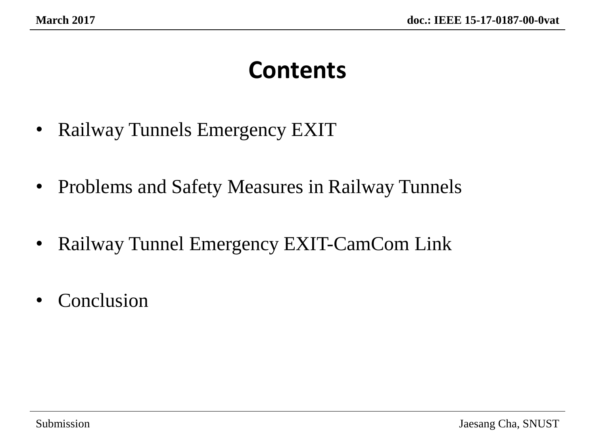# **Contents**

- Railway Tunnels Emergency EXIT
- Problems and Safety Measures in Railway Tunnels
- Railway Tunnel Emergency EXIT-CamCom Link
- Conclusion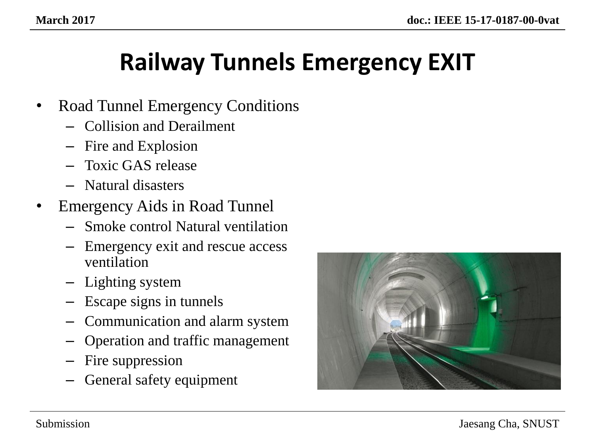# **Railway Tunnels Emergency EXIT**

- Road Tunnel Emergency Conditions
	- Collision and Derailment
	- Fire and Explosion
	- Toxic GAS release
	- Natural disasters
- Emergency Aids in Road Tunnel
	- Smoke control Natural ventilation
	- Emergency exit and rescue access ventilation
	- Lighting system
	- Escape signs in tunnels
	- Communication and alarm system
	- Operation and traffic management
	- Fire suppression
	- General safety equipment

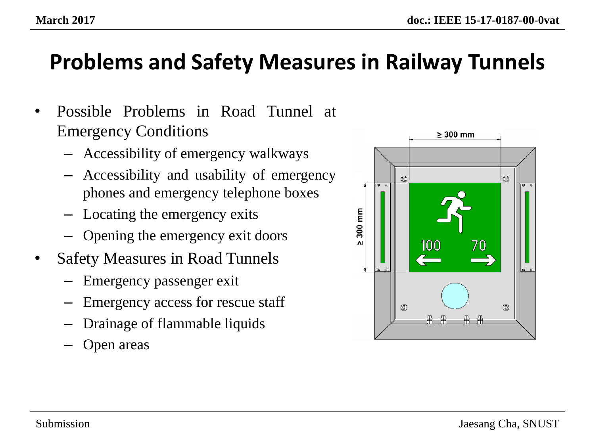### **Problems and Safety Measures in Railway Tunnels**

- Possible Problems in Road Tunnel at Emergency Conditions
	- Accessibility of emergency walkways
	- Accessibility and usability of emergency phones and emergency telephone boxes
	- Locating the emergency exits
	- Opening the emergency exit doors
- Safety Measures in Road Tunnels
	- Emergency passenger exit
	- Emergency access for rescue staff
	- Drainage of flammable liquids
	- Open areas

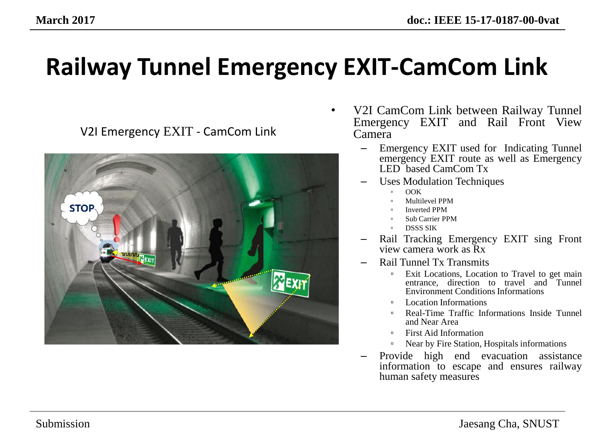V2I Emergency EXIT - CamCom Link



- V2I CamCom Link between Railway Tunnel Emergency EXIT and Rail Front View Camera
	- Emergency EXIT used for Indicating Tunnel emergency EXIT route as well as Emergency LED based CamCom Tx
	- Uses Modulation Techniques
		- OOK
		- Multilevel PPM
		- Inverted PPM
		- Sub Carrier PPM
		- DSSS SIK
	- Rail Tracking Emergency EXIT sing Front view camera work as Rx
	- Rail Tunnel Tx Transmits
		- <sup>□</sup> Exit Locations, Location to Travel to get main entrance, direction to travel and Tunnel Environment Conditions Informations
		- Location Informations
		- Real-Time Traffic Informations Inside Tunnel and Near Area
		- First Aid Information
		- Near by Fire Station, Hospitals informations
	- Provide high end evacuation assistance information to escape and ensures railway human safety measures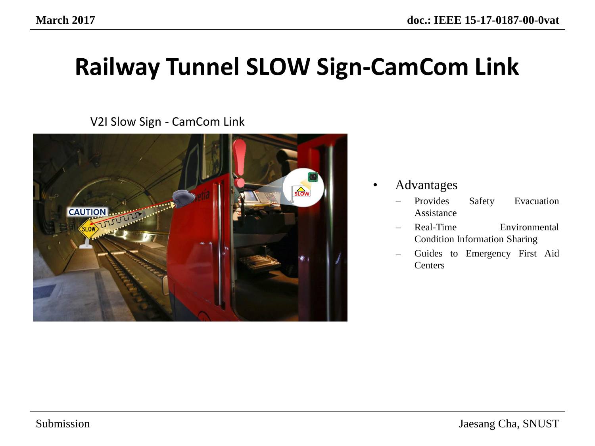# **Railway Tunnel SLOW Sign-CamCom Link**

V2I Slow Sign - CamCom Link



- Advantages
	- Provides Safety Evacuation Assistance
	- Real-Time Environmental Condition Information Sharing
	- Guides to Emergency First Aid **Centers**